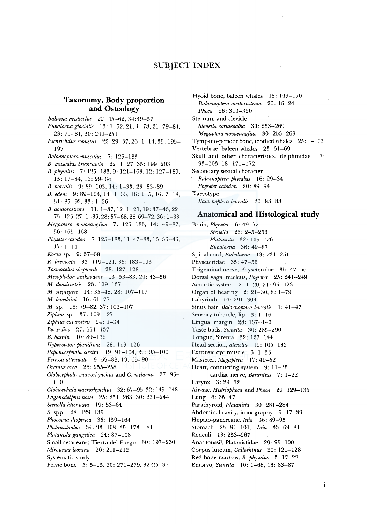# SUBJECT INDEX

# **Taxonomy, Body proportion and Osteology**

*Balaena mysticelus* 22: 45-62, 34:49-57 *Eubalaenaglacialis* 13: 1-52,21: 1-78,21:79-84, 23: 71-81, 30: 249-251 *Eschrichtius robustus* 22: 29-37, 26: 1-14, 35: 195- 197 *Balaenoptera musculus* 7: 125-183 *B. musculus brevicauda* 22: 1-27, 35: 199-203 *B. physalus* 7: 125-183, 9: 121-163, 12: 127-189, 15: 17-84, 16: 29-34 *B. borealis* 9: 89-103, 14: 1-33, 23: 83-89 *B. edeni* 9: 89-103, 14: 1-33, 16: 1-5, 16: 7-18, 31: 85-92, 33: 1-26 *B. acutorostrata* 11: 1-37, 12: 1-21, 19: 37-43, 22: 75-125,27: 1-36,28:57-68,28:69-72,36: 1-33 *Megaptera novaeangliae* 7: 125-183, 14: 49-87, 36: 165-168 *Physetercatodon* 7: 125-183, 11: 47-83, 16: 35-45, 17: 1-14 *Kogia* sp. 9: 37-58 K. *breviceps* 33: 119-124, 35: 183-193 *Tasmacelus shepherdi* 28: 127-128 *Mesoplodon ginkgodens* 13: 53-83, 24: 43-56 *M. densirostris* 23: 129-137 *M. stejnegeri* 14: 35-48, 28: 107-117 *M. bowdoini* 16: 61-77 M. sp. 16: 79-82, 37: 103-107 *Ziphius* sp. 37: 109-127 *Ziphius cavirostris* 24: 1-34 *Berardius* 27: 111-13 7 *B. bairdii* 10: 89-132 *Hyperoodon planifrons* 28: 119-126 *Peponocephala electra* 19: 91-104, 20: 95-100 *Feressa attenuata* 9: 59-88, 19: 65-90 *Orcinus area* 26: 255-258 *Globicephala macrorhynchus* and G. *melaena* 27: 95- 110 *Globicephalamacrorhynchus* 32: 67-95, 32: 145-148 *Lagenodelphishosei* 25: 251-263, 30: 231-244 *Stenella attenuata* 19: 53-64 *S.* spp. 28: 129-135 *Phocoena dioptrica* 35: 159-164 *Platanistoidea* 34: 93-108, 35: 173-181 *Platanisla gangetica* 24: 87-108 Small cetaceans; Tierra de! Fuego 30: 197-230 *Mirounga leonina* 20: 211-212 Systematic study Pelvic bone 5: 5-15, 30: 271-279, 32:25-37

Hyoid bone, baleen whales 18: 149-170 *Balaenoptera acutorostrata* 26: 15-24 *Phoca* 26: 313-320 Sternum and clevicle *Stene/la coruleoalba* 30: 253-269 *Megaptera novaeangliae* 30: 253-269 Tympano-periotic bone, toothed whales 25: 1-103 Vertebrae, baleen whales 23: 61-69 Skull and other characteristics, delphinidae 17: 93-103, 18: 171-172 Secondary sexual character *Balaenoptera physalus* 16: 29-34 *Physeter catodon* 20: 89-94 Karyotype *Balaenoptera borealis* 20: 83-88

#### **Anatomical and Histological study**

Brain, *Physeter* 6: 49-72 *Stene/la* 26: 245-253 *Platanista* 32: 105-126 *Eubalaena* 36: 49-87 Spinal cord, *Eubalaena* 13: 231-251 Physeteridae 35: 47-56 Trigeminal nerve, Physeteridae 35: 47-56 Dorsal vagal nucleus, *Physeter* 25: 241-249 Acoustic system 2: 1-20, 21: 95-123 Organ of hearing 2: 21-30, 8: 1-79 Labyrinth 14: 291-304 Sinus hair, *Balaenoptera borealis* 1: 41-47 Sensory tubercle, lip 3: 1-16 Lingual margin 28: 137-140 Taste buds, *Stenella* 30: 285-290 Tongue, Sirenia 32: 127-144 Head section, *Stenella* 19: 105-133 Extrinsic eye muscle 6: 1-33 Masseter, *Megaptera* 17: 49-52 Heart, conducting system 9: 11-35 cardiac nerve, *Berardius* 7: 1-22 Larynx 3: 23-62 Air-sac, *Histriophoca* and *Phoca* 29: 129-135 Lung 6: 35-47 Parathyroid, *Platanista* 30: 281-284 Abdominal cavity, iconography 5: 17-39 Hepato-pancreatic, *Inia* 36: 89-95 Stomach 23: 91-101, *lnia* 33: 69-81 Renculi 13: 253-267 Anal tonssil, Platanistidae 29: 95-100 Corpus luteum, *Callorhinus* 29: 121-128 Red bone marrow, *B. physalus* 3: 17-22 Embryo, *Stenella* 10: 1-68, 16: 83-87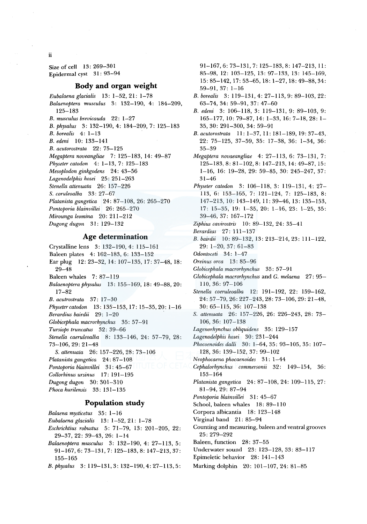Size of cell 13: 269-301 Epidermal cyst 31: 93-94

### **Body and organ weight**

*Eubalaena glacialis* 13: 1-52, 21: 1-78 *Balaenoptera musculus* 3: 132-190, 4: 184-209, 125-183 *B. musculus brevicauda* 22: 1-27 *B. physalus* 3: 132-190, 4: 184-209, 7: 125-183 *B. borealis* 4: 1-13 *B. edeni* 10: 133-141 *B. acutorostrata* 22: 75-125 *Megaptera noveangliae* 7: 125-183, 14: 49-87 *Physeter catodon* 4: 1-13, 7: 125-183 *Mesoplodon ginkgodens* 24: 43-56 *Lagenodelphis hosei* 25: 251-263 *Stenella attenuata* 26: 157-226 *S. coruleoalba* 33: 27-67 *Platanista gangetica* 24: 87-108, 26: 265-270 *Pontoporia blainvillei* 26: 265-270 *Mirounga leomina* 20: 211-212 *Dugong dugon* 31: 129-132

### **Age determination**

Crystalline lens 3: 132-190, 4: 115-161

- Baleen plates 4: 162-183, 6: 133-152
- Ear plug 12: 23-32, 14: 107-135, 17: 37-48, 18: 29-48
- Baleen whales 7: 87-119
- *Balaenoptera physalus* 13: 155-169, 18: 49-88, 20: 17-82
- *B. acutrostrata* 37: 17-30
- *Physetercatodon* 13: 135-153, 17: 15-35, 20: 1-16
- *Berardius bairdii* 29: 1-20 .
- *Globicephala macrorhynchus* 35: 57-91
- *Tursiops truncatus* 32: 39-66
- *Stenella caeruleoalba* 8: 133-146, 24: 57-79, 28: 73-106, 29: 21-48
- *S. attenuata* 26: 157-226, 28: 73-106
- *Platanista gangetica* 24: 87-108
- *Pontoporia blainvillei* 31: 45-67
- *Collorhinus ursinus* 17: 191-195
- *Dugong dugon* 30: 301-310
- *Phoca kurilensis* 33: 131-135

## **Population study**

- *Balaena mysticetus* 35: 1-16
- *Eubalaenaglacialis* 13: 1-52, 21: 1-78
- *Eschrichtius robustus* 5: 71-79, 13: 201-205, 22: 29-37,22: 39-43,26: 1-14
- *Balaenoptera musculus* 3: 132-190, 4: 27-113, 5: 91-167,6: 73-131,7: 125-183,8: 147-213,37: 155-165
- *B. physalus* 3: 119-131, 3: 132-190, 4: 27-113, 5:

91-167, 6: 73-131, 7: 125-183, 8: 147-213, 11: 85-98, 12: 103-125, 13: 97-133, 13: 145-169, 15:85-142, 17:53-65, 18: 1-27, 18:49-88,34: 59-91, 37: 1-16

- *B. borealis* 3: 119-131, 4: 27-113, 9: 89-103, 22: 63-74, 34: 59-91, 37: 47-60
- *B. edeni* 3: 106-118, 3: 119-131, 9: 89-103, 9: 165-177, 10: 79-87, 14: 1-33, 16: 7-18, 28: 1- 35, 30: 291-300, 34: 59-91
- *B. acutorostrata* 11: 1-37, 11: 181-189, 19: 37-43, 22: 75-125, 37-59, 35: 17-38, 36: 1-34, 36: 35-39
- *Megaptera novaeangliae* 4: 27-113, 6: 73-131, 7: 125-183,8:81-102,8: 147-213, 14:49-87, 15: 1-16, 16: 19-28, 29: 59-85, 30: 245-247, 37: 31-46
- *Physeter catodon* 3: 106-118, 3: 119-131, 4: 27- 113, 6: 153-165, 7: 121-124, 7: 125-183, 8: 147-213, 10: 143-149, 11: 39-46, 13: 135-153, 17: 15-35, 19: 1-35, 20: 1-16, 23: 1-25, 35: 39-46, 37: 167-172
- *Ziphius cavirostris* 10: 89-132, 24: 35-41
- *Berardius* 27: 111-137
- *B. bairdii* 10: 89-132, 13: 213-214, 23: 111-122, 29: 1-20, 37: 61-83
- *Odontoceti* 34: 1-4 7
- *Oreinus orca* 13: 85-96
- *Globicephala macrorhynchus* 35: 57-91
- *Globicephala macrorhynchus* and G. *melaena* 27: 95- 110, 36: 97-106
- *Stene/la coeruleoalba* 12: 191-192, 22: 159-162, 24: 57-79,26:227-243,28:73-106,29:21-48, 30: 65-115, 36: 107-138
- *S. attenuata* 26: 157-226, 26: 226-243, 28: 73- 106, 36: 107-138
- *Lagenorhynchus obliquidens* 35: 129-157
- *Lagenodelphis hosei* 30: 231-244
- *Phocoenoides dalli* 30: 1-64, 35: 93-105, 35: 107- 128, 36: 139-152, 37: 99-102
- *Neophocaena phocaenoides* 31: 1-44
- *Cephalorhynchus commersonii* 32: 149-154, 36: 153-164
- *Platanistagangetica* 24: 87-108, 24: 109-115, 27: 81-94, 29: 87-94
- *Pontoporia blainvillei* 31 : 45-67
- School, baleen whales 18: 89-110
- Corpora albicantia 18: 123-148
- Virginal band 21: 85-94
- Counting and measuring, baleen and ventral grooves 25: 279-292
- Baleen, function 28: 37-55
- Underwater sound 23: 123-128, 33: 83-117
- Epimeletic behavior 28: 141-143
- Marking dolphin 20: 101-107, 24: 81-85

ii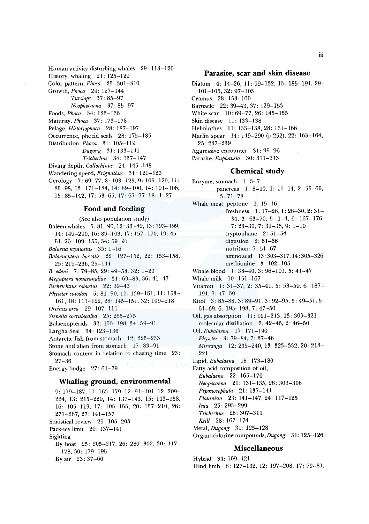Human activity disturbing whales 29: 113-120 History, whaling 21: 125-129 Colar pattern, *Phoca* 25: 301-310 Growth, *Phoca* 24: 127-144 *Tursiops* 37: 85-97 *Neophocaena* 37: 85-97 Foods, *Phoca* 34: 123-136 Maturity, *Phoca* 37: 173-178 Pelage, *Historiophoca* 28: 187-197 Occurrence, phocid seals 28: 175-185 Distribution, *Phoca* 31 : 105-119 *Dugong* 31: 133-141 *Trichechus* 34: 137-147 Diving depth, *Callorhinus* 24: 145-148 Wandering speed, *Erignathus* 31: 121-123 Gerology 7: 69-77, 8: 103-125, 9: 105-120, II: 85-98, 13: 171-184, 14: 89-100, 14: 101-106, 15: 85-142, 17·. 53-65, 17: 67-77, 18: 1-27

#### **Food and feeding**

(See also population study) Baleen whales 5: 81-90, 12: 33-89, 13: 193-199, 14: 149-290, 16: 89-103, 17: 157-170, 19: 45-51, 20: 109-155, 34: 59-91 *Balaena mysticetus* 35: 1-16 *Balaenoptera borealis* 22: 127-152, 22: 153-158, 25: 219-236, 25-144 *B. edeni* 7: 79-85, 29: 49-58, 32: 1-23 *Megaptera novaeangliae* 31: 69-83, 36: 41-47 *Eschrichtius robustus* 22: 39-43 *Physeter catodon* 5: 81-90, 11: 139-151, 11: 153- 161, 18: 111-122, 28: 145-151, 32: 199-218 *Orcinus orca* 29: 107-111 *Stene/la coeruleoalba* 25: 265-275 Balaenopterids 32: 155-198, 34: 59-91 Largha Seal 34: 123-136 Antarctic fish from stomach 12: 225-233 Stone and alien from stomach 17: 83-91 Stomach content in relation to chasing time 23: 27-36 Energy budge 27: 61-79 **Whaling ground, environmental**  9: 179-187, 11: 163-179, 12: 91-101, 12: 209-

224, 13: 215-229, 14: 137-143, 15: 143-158, 16: 105-119, 17: 105-155, 20: 157-210, 26: 271-287, 27: 141-157 Statistical review 25: 105-203 Pack-ice limit 29: 137-141 Sighting By boat 25: 205-217, 26: 289-302, 30: 117- 178, 30: 179-195 By air 23: 37-60

#### **Parasite, scar and skin disease**

Diatom 4: 14-26, 11: 99-132, 13: 185-191, 29: 101-105, 32: 97-103 Cyamus 28: 153-160 Barnacle 22: 39-43, 37: 129-153 White scar 10: 69-77, 26: 145-155 Skin disease 11: 133-138 Helminthes 11: 133-138, 28: 161-166 Marlin spear 14: 149-290 (p.252), 22: 163-164, 25: 237-239 Aggressive encounter 31: 95-96 Parasite, *Euphausia* 30: 311-313

#### **Chemical study**

Enzyme, stomach 1: 3-7 pancreas 1: 8-10, 1: 11-14, 2: 55-60, 3: 71-78 Whale meat, peptone 1: 15-16 freshness 1: 17-26, 1: 28-30, 2: 31- 34, 3: 63-70, 5: 1-4, 6: 167-176, 7: 23-30, 7: 31-36, 9: 1-10 tryptophane 2: 51-54 digestion 2: 61-66 nutrition: 7: 51-67 amino acid 13: 303-317, 14: 305-326 methionine 3: 102-105 Whale blood 1: 38-40, 3: 96-101, 5: 41-47 Whale milk 10: 151-167 Vitamin 1: 31-37, 2: 35-41, 5: 53-59, 6: 187- 191, 7: 47-50 Kitol 3: 85-88, 3: 89-91, 3: 92-95, 5: 49-51, 5: 61-69, 6: 193-198, 7: 47-50 Oil, gas absorption 11: 191-213, 13: 309-321 molecular distillation 2: 42-45, 2: 46-50 Oil, *Eubalaena* 17: 171-190 *Physeter* 3: 79-84, 7: 37-46 *Mirounga* 12: 235-240, 13: 323-332, 20: 213- 221 Lipid, *Eubalaena* 18: 173-180 Fatty acid composition of oil, *Eubalaena* 22: 165-170 *Neopocaena* 21: 131-135, 26: 303-306 *Peponocephala* 21: 137-141 *Platanista* 23: 141-147, 24: 117-125 *Inia* 25: 293-299 *Trichechus* 26: 307-311 *Krill* 28: 167-174 Metal, *Dugong* 31: 125-128 Organochlorinecompounds,Dugong 31: 125-126

## **Miscellaneous**

Hybrid 34: 109-121 Hind limb 8: 127-132, 12: 197-208, 17: 79-81,